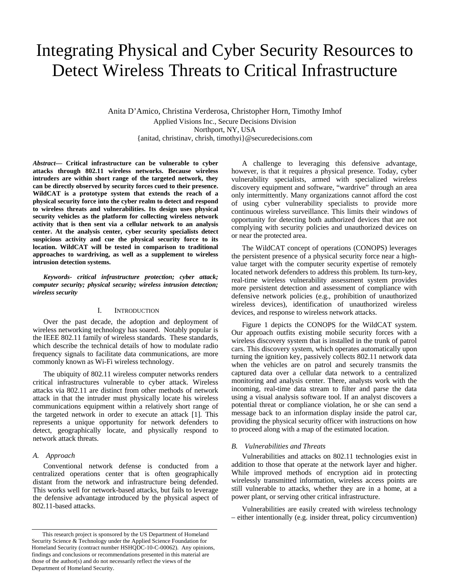# Integrating Physical and Cyber Security Resources to Detect Wireless Threats to Critical Infrastructure

Anita D'Amico, Christina Verderosa, Christopher Horn, Timothy Imhof Applied Visions Inc., Secure Decisions Division Northport, NY, USA {anitad, christinav, chrish, timothyi}@securedecisions.com

*Abstract***— Critical infrastructure can be vulnerable to cyber attacks through 802.11 wireless networks. Because wireless intruders are within short range of the targeted network, they can be directly observed by security forces cued to their presence. WildCAT is a prototype system that extends the reach of a physical security force into the cyber realm to detect and respond to wireless threats and vulnerabilities. Its design uses physical security vehicles as the platform for collecting wireless network activity that is then sent via a cellular network to an analysis center. At the analysis center, cyber security specialists detect suspicious activity and cue the physical security force to its location. WildCAT will be tested in comparison to traditional approaches to wardriving, as well as a supplement to wireless intrusion detection systems.** 

*Keywords- critical infrastructure protection; cyber attack; computer security; physical security; wireless intrusion detection; wireless security* 

# I. INTRODUCTION

Over the past decade, the adoption and deployment of wireless networking technology has soared. Notably popular is the IEEE 802.11 family of wireless standards. These standards, which describe the technical details of how to modulate radio frequency signals to facilitate data communications, are more commonly known as Wi-Fi wireless technology.

The ubiquity of 802.11 wireless computer networks renders critical infrastructures vulnerable to cyber attack. Wireless attacks via 802.11 are distinct from other methods of network attack in that the intruder must physically locate his wireless communications equipment within a relatively short range of the targeted network in order to execute an attack [1]. This represents a unique opportunity for network defenders to detect, geographically locate, and physically respond to network attack threats.

# *A. Approach*

Conventional network defense is conducted from a centralized operations center that is often geographically distant from the network and infrastructure being defended. This works well for network-based attacks, but fails to leverage the defensive advantage introduced by the physical aspect of 802.11-based attacks.

A challenge to leveraging this defensive advantage, however, is that it requires a physical presence. Today, cyber vulnerability specialists, armed with specialized wireless discovery equipment and software, "wardrive" through an area only intermittently. Many organizations cannot afford the cost of using cyber vulnerability specialists to provide more continuous wireless surveillance. This limits their windows of opportunity for detecting both authorized devices that are not complying with security policies and unauthorized devices on or near the protected area.

The WildCAT concept of operations (CONOPS) leverages the persistent presence of a physical security force near a highvalue target with the computer security expertise of remotely located network defenders to address this problem. Its turn-key, real-time wireless vulnerability assessment system provides more persistent detection and assessment of compliance with defensive network policies (e.g., prohibition of unauthorized wireless devices), identification of unauthorized wireless devices, and response to wireless network attacks.

Figure 1 depicts the CONOPS for the WildCAT system. Our approach outfits existing mobile security forces with a wireless discovery system that is installed in the trunk of patrol cars. This discovery system, which operates automatically upon turning the ignition key, passively collects 802.11 network data when the vehicles are on patrol and securely transmits the captured data over a cellular data network to a centralized monitoring and analysis center. There, analysts work with the incoming, real-time data stream to filter and parse the data using a visual analysis software tool. If an analyst discovers a potential threat or compliance violation, he or she can send a message back to an information display inside the patrol car, providing the physical security officer with instructions on how to proceed along with a map of the estimated location.

# *B. Vulnerabilities and Threats*

Vulnerabilities and attacks on 802.11 technologies exist in addition to those that operate at the network layer and higher. While improved methods of encryption aid in protecting wirelessly transmitted information, wireless access points are still vulnerable to attacks, whether they are in a home, at a power plant, or serving other critical infrastructure.

Vulnerabilities are easily created with wireless technology – either intentionally (e.g. insider threat, policy circumvention)

This research project is sponsored by the US Department of Homeland Security Science & Technology under the Applied Science Foundation for Homeland Security (contract number HSHQDC-10-C-00062). Any opinions, findings and conclusions or recommendations presented in this material are those of the author(s) and do not necessarily reflect the views of the Department of Homeland Security.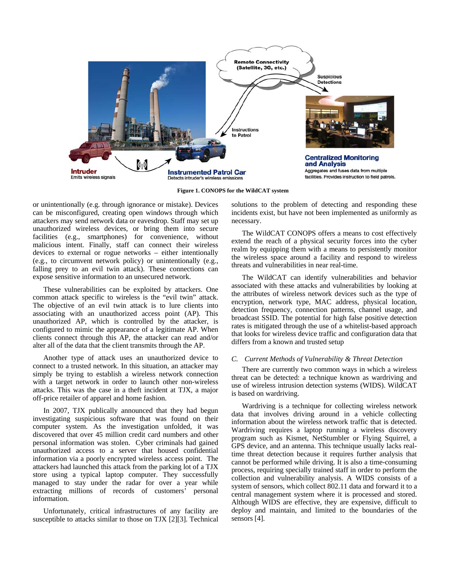

**Figure 1. CONOPS for the WildCAT system** 

or unintentionally (e.g. through ignorance or mistake). Devices can be misconfigured, creating open windows through which attackers may send network data or eavesdrop. Staff may set up unauthorized wireless devices, or bring them into secure facilities (e.g., smartphones) for convenience, without malicious intent. Finally, staff can connect their wireless devices to external or rogue networks – either intentionally (e.g., to circumvent network policy) or unintentionally (e.g., falling prey to an evil twin attack). These connections can expose sensitive information to an unsecured network.

These vulnerabilities can be exploited by attackers. One common attack specific to wireless is the "evil twin" attack. The objective of an evil twin attack is to lure clients into associating with an unauthorized access point (AP). This unauthorized AP, which is controlled by the attacker, is configured to mimic the appearance of a legitimate AP. When clients connect through this AP, the attacker can read and/or alter all of the data that the client transmits through the AP.

Another type of attack uses an unauthorized device to connect to a trusted network. In this situation, an attacker may simply be trying to establish a wireless network connection with a target network in order to launch other non-wireless attacks. This was the case in a theft incident at TJX, a major off-price retailer of apparel and home fashion.

In 2007, TJX publically announced that they had begun investigating suspicious software that was found on their computer system. As the investigation unfolded, it was discovered that over 45 million credit card numbers and other personal information was stolen. Cyber criminals had gained unauthorized access to a server that housed confidential information via a poorly encrypted wireless access point. The attackers had launched this attack from the parking lot of a TJX store using a typical laptop computer. They successfully managed to stay under the radar for over a year while extracting millions of records of customers' personal information.

Unfortunately, critical infrastructures of any facility are susceptible to attacks similar to those on TJX [2][3]. Technical solutions to the problem of detecting and responding these incidents exist, but have not been implemented as uniformly as necessary.

The WildCAT CONOPS offers a means to cost effectively extend the reach of a physical security forces into the cyber realm by equipping them with a means to persistently monitor the wireless space around a facility and respond to wireless threats and vulnerabilities in near real-time.

The WildCAT can identify vulnerabilities and behavior associated with these attacks and vulnerabilities by looking at the attributes of wireless network devices such as the type of encryption, network type, MAC address, physical location, detection frequency, connection patterns, channel usage, and broadcast SSID. The potential for high false positive detection rates is mitigated through the use of a whitelist-based approach that looks for wireless device traffic and configuration data that differs from a known and trusted setup

## *C. Current Methods of Vulnerability & Threat Detection*

There are currently two common ways in which a wireless threat can be detected: a technique known as wardriving and use of wireless intrusion detection systems (WIDS). WildCAT is based on wardriving.

Wardriving is a technique for collecting wireless network data that involves driving around in a vehicle collecting information about the wireless network traffic that is detected. Wardriving requires a laptop running a wireless discovery program such as Kismet, NetStumbler or Flying Squirrel, a GPS device, and an antenna. This technique usually lacks realtime threat detection because it requires further analysis that cannot be performed while driving. It is also a time-consuming process, requiring specially trained staff in order to perform the collection and vulnerability analysis. A WIDS consists of a system of sensors, which collect 802.11 data and forward it to a central management system where it is processed and stored. Although WIDS are effective, they are expensive, difficult to deploy and maintain, and limited to the boundaries of the sensors [4].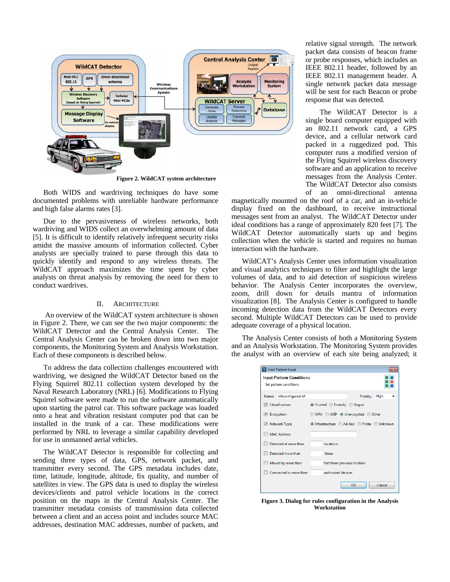

Both WIDS and wardriving techniques do have some documented problems with unreliable hardware performance and high false alarms rates [3].

Due to the pervasiveness of wireless networks, both wardriving and WIDS collect an overwhelming amount of data [5]. It is difficult to identify relatively infrequent security risks amidst the massive amounts of information collected. Cyber analysts are specially trained to parse through this data to quickly identify and respond to any wireless threats. The WildCAT approach maximizes the time spent by cyber analysts on threat analysis by removing the need for them to conduct wardrives.

## II. ARCHITECTURE

 An overview of the WildCAT system architecture is shown in Figure 2. There, we can see the two major components: the WildCAT Detector and the Central Analysis Center. The Central Analysis Center can be broken down into two major components, the Monitoring System and Analysis Workstation. Each of these components is described below.

To address the data collection challenges encountered with wardriving, we designed the WildCAT Detector based on the Flying Squirrel 802.11 collection system developed by the Naval Research Laboratory (NRL) [6]. Modifications to Flying Squirrel software were made to run the software automatically upon starting the patrol car. This software package was loaded onto a heat and vibration resistant computer pod that can be installed in the trunk of a car. These modifications were performed by NRL to leverage a similar capability developed for use in unmanned aerial vehicles.

The WildCAT Detector is responsible for collecting and sending three types of data, GPS, network packet, and transmitter every second. The GPS metadata includes date, time, latitude, longitude, altitude, fix quality, and number of satellites in view. The GPS data is used to display the wireless devices/clients and patrol vehicle locations in the correct position on the maps in the Central Analysis Center. The transmitter metadata consists of transmission data collected between a client and an access point and includes source MAC addresses, destination MAC addresses, number of packets, and relative signal strength. The network packet data consists of beacon frame or probe responses, which includes an IEEE 802.11 header, followed by an IEEE 802.11 management header. A single network packet data message will be sent for each Beacon or probe response that was detected.

 The WildCAT Detector is a single board computer equipped with an 802.11 network card, a GPS device, and a cellular network card packed in a ruggedized pod. This computer runs a modified version of the Flying Squirrel wireless discovery software and an application to receive messages from the Analysis Center. The WildCAT Detector also consists of an omni-directional antenna

magnetically mounted on the roof of a car, and an in-vehicle display fixed on the dashboard, to receive instructional messages sent from an analyst. The WildCAT Detector under ideal conditions has a range of approximately 820 feet [7]. The WildCAT Detector automatically starts up and begins collection when the vehicle is started and requires no human interaction with the hardware.

WildCAT's Analysis Center uses information visualization and visual analytics techniques to filter and highlight the large volumes of data, and to aid detection of suspicious wireless behavior. The Analysis Center incorporates the overview, zoom, drill down for details mantra of information visualization [8]. The Analysis Center is configured to handle incoming detection data from the WildCAT Detectors every second. Multiple WildCAT Detectors can be used to provide adequate coverage of a physical location.

The Analysis Center consists of both a Monitoring System and an Analysis Workstation. The Monitoring System provides the analyst with an overview of each site being analyzed; it

| Alert Pattern Input   |                                                           |                              |                                             |    |           |        |  |
|-----------------------|-----------------------------------------------------------|------------------------------|---------------------------------------------|----|-----------|--------|--|
|                       | <b>Input Pattern Conditions</b><br>Set pattern conditions |                              |                                             |    |           |        |  |
|                       | Name: Misconfigured AP                                    |                              |                                             |    | Priority: | High   |  |
| Classification:       |                                                           | ◎ Trusted ◎ Friendly ◎ Roque |                                             |    |           |        |  |
|                       | V Encryption:                                             |                              | © WPA © WEP © Unencrypted © Other           |    |           |        |  |
|                       | V Network Type:                                           |                              | ◎ Infrastructure © Ad-hoc © Probe © Unknown |    |           |        |  |
|                       | <b>MAC Address</b>                                        |                              |                                             |    |           |        |  |
| Detected at more than |                                                           | locations                    |                                             |    |           |        |  |
| Detected more than    |                                                           | times                        |                                             |    |           |        |  |
| Moved by more than    |                                                           | feet from previous location  |                                             |    |           |        |  |
|                       | Connected to more than                                    | authorized devices           |                                             |    |           |        |  |
|                       |                                                           |                              |                                             | OK |           | Cancel |  |

**Figure 3. Dialog for rules configuration in the Analysis Workstation**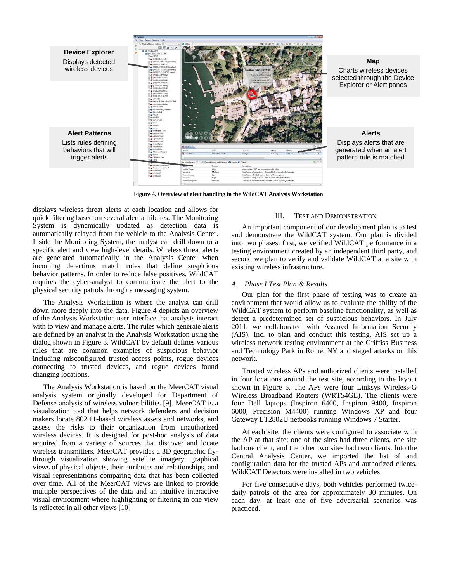

**Figure 4. Overview of alert handling in the WildCAT Analysis Workstation**

displays wireless threat alerts at each location and allows for quick filtering based on several alert attributes. The Monitoring System is dynamically updated as detection data is automatically relayed from the vehicle to the Analysis Center. Inside the Monitoring System, the analyst can drill down to a specific alert and view high-level details. Wireless threat alerts are generated automatically in the Analysis Center when incoming detections match rules that define suspicious behavior patterns. In order to reduce false positives, WildCAT requires the cyber-analyst to communicate the alert to the physical security patrols through a messaging system.

The Analysis Workstation is where the analyst can drill down more deeply into the data. Figure 4 depicts an overview of the Analysis Workstation user interface that analysts interact with to view and manage alerts. The rules which generate alerts are defined by an analyst in the Analysis Workstation using the dialog shown in Figure 3. WildCAT by default defines various rules that are common examples of suspicious behavior including misconfigured trusted access points, rogue devices connecting to trusted devices, and rogue devices found changing locations.

The Analysis Workstation is based on the MeerCAT visual analysis system originally developed for Department of Defense analysis of wireless vulnerabilities [9]. MeerCAT is a visualization tool that helps network defenders and decision makers locate 802.11-based wireless assets and networks, and assess the risks to their organization from unauthorized wireless devices. It is designed for post-hoc analysis of data acquired from a variety of sources that discover and locate wireless transmitters. MeerCAT provides a 3D geographic flythrough visualization showing satellite imagery, graphical views of physical objects, their attributes and relationships, and visual representations comparing data that has been collected over time. All of the MeerCAT views are linked to provide multiple perspectives of the data and an intuitive interactive visual environment where highlighting or filtering in one view is reflected in all other views [10]

# III. TEST AND DEMONSTRATION

An important component of our development plan is to test and demonstrate the WildCAT system. Our plan is divided into two phases: first, we verified WildCAT performance in a testing environment created by an independent third party, and second we plan to verify and validate WildCAT at a site with existing wireless infrastructure.

## *A. Phase I Test Plan & Results*

Our plan for the first phase of testing was to create an environment that would allow us to evaluate the ability of the WildCAT system to perform baseline functionality, as well as detect a predetermined set of suspicious behaviors. In July 2011, we collaborated with Assured Information Security (AIS), Inc. to plan and conduct this testing. AIS set up a wireless network testing environment at the Griffiss Business and Technology Park in Rome, NY and staged attacks on this network.

Trusted wireless APs and authorized clients were installed in four locations around the test site, according to the layout shown in Figure 5. The APs were four Linksys Wireless-G Wireless Broadband Routers (WRT54GL). The clients were four Dell laptops (Inspiron 6400, Inspiron 9400, Inspiron 6000, Precision M4400) running Windows XP and four Gateway LT2802U netbooks running Windows 7 Starter.

At each site, the clients were configured to associate with the AP at that site; one of the sites had three clients, one site had one client, and the other two sites had two clients. Into the Central Analysis Center, we imported the list of and configuration data for the trusted APs and authorized clients. WildCAT Detectors were installed in two vehicles.

For five consecutive days, both vehicles performed twicedaily patrols of the area for approximately 30 minutes. On each day, at least one of five adversarial scenarios was practiced.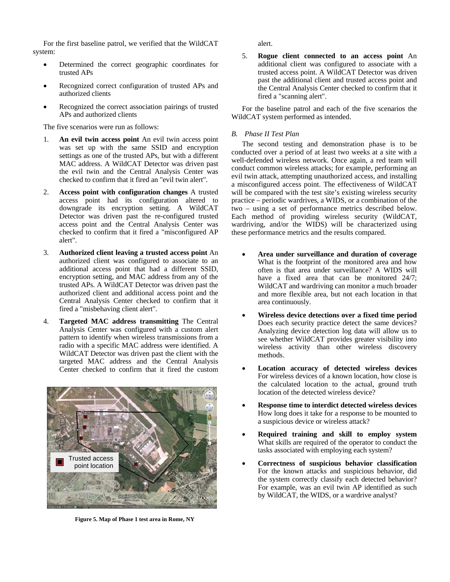For the first baseline patrol, we verified that the WildCAT system:

- Determined the correct geographic coordinates for trusted APs
- Recognized correct configuration of trusted APs and authorized clients
- Recognized the correct association pairings of trusted APs and authorized clients

The five scenarios were run as follows:

- 1. **An evil twin access point** An evil twin access point was set up with the same SSID and encryption settings as one of the trusted APs, but with a different MAC address. A WildCAT Detector was driven past the evil twin and the Central Analysis Center was checked to confirm that it fired an "evil twin alert".
- 2. **Access point with configuration changes** A trusted access point had its configuration altered to downgrade its encryption setting. A WildCAT Detector was driven past the re-configured trusted access point and the Central Analysis Center was checked to confirm that it fired a "misconfigured AP alert".
- 3. **Authorized client leaving a trusted access point** An authorized client was configured to associate to an additional access point that had a different SSID, encryption setting, and MAC address from any of the trusted APs. A WildCAT Detector was driven past the authorized client and additional access point and the Central Analysis Center checked to confirm that it fired a "misbehaving client alert".
- 4. **Targeted MAC address transmitting** The Central Analysis Center was configured with a custom alert pattern to identify when wireless transmissions from a radio with a specific MAC address were identified. A WildCAT Detector was driven past the client with the targeted MAC address and the Central Analysis Center checked to confirm that it fired the custom



**Figure 5. Map of Phase 1 test area in Rome, NY** 

alert.

5. **Rogue client connected to an access point** An additional client was configured to associate with a trusted access point. A WildCAT Detector was driven past the additional client and trusted access point and the Central Analysis Center checked to confirm that it fired a "scanning alert".

For the baseline patrol and each of the five scenarios the WildCAT system performed as intended.

# *B. Phase II Test Plan*

The second testing and demonstration phase is to be conducted over a period of at least two weeks at a site with a well-defended wireless network. Once again, a red team will conduct common wireless attacks; for example, performing an evil twin attack, attempting unauthorized access, and installing a misconfigured access point. The effectiveness of WildCAT will be compared with the test site's existing wireless security practice – periodic wardrives, a WIDS, or a combination of the two – using a set of performance metrics described below. Each method of providing wireless security (WildCAT, wardriving, and/or the WIDS) will be characterized using these performance metrics and the results compared.

- **Area under surveillance and duration of coverage**  What is the footprint of the monitored area and how often is that area under surveillance? A WIDS will have a fixed area that can be monitored  $24/7$ ; WildCAT and wardriving can monitor a much broader and more flexible area, but not each location in that area continuously.
- **Wireless device detections over a fixed time period**  Does each security practice detect the same devices? Analyzing device detection log data will allow us to see whether WildCAT provides greater visibility into wireless activity than other wireless discovery methods.
- **Location accuracy of detected wireless devices**  For wireless devices of a known location, how close is the calculated location to the actual, ground truth location of the detected wireless device?
- **Response time to interdict detected wireless devices**  How long does it take for a response to be mounted to a suspicious device or wireless attack?
- **Required training and skill to employ system**  What skills are required of the operator to conduct the tasks associated with employing each system?
- **Correctness of suspicious behavior classification** For the known attacks and suspicious behavior, did the system correctly classify each detected behavior? For example, was an evil twin AP identified as such by WildCAT, the WIDS, or a wardrive analyst?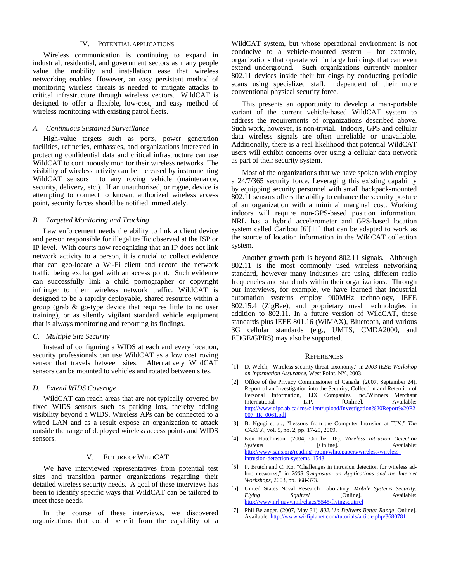## IV. POTENTIAL APPLICATIONS

Wireless communication is continuing to expand in industrial, residential, and government sectors as many people value the mobility and installation ease that wireless networking enables. However, an easy persistent method of monitoring wireless threats is needed to mitigate attacks to critical infrastructure through wireless vectors. WildCAT is designed to offer a flexible, low-cost, and easy method of wireless monitoring with existing patrol fleets.

# *A. Continuous Sustained Surveillance*

High-value targets such as ports, power generation facilities, refineries, embassies, and organizations interested in protecting confidential data and critical infrastructure can use WildCAT to continuously monitor their wireless networks. The visibility of wireless activity can be increased by instrumenting WildCAT sensors into any roving vehicle (maintenance, security, delivery, etc.). If an unauthorized, or rogue, device is attempting to connect to known, authorized wireless access point, security forces should be notified immediately.

#### *B. Targeted Monitoring and Tracking*

Law enforcement needs the ability to link a client device and person responsible for illegal traffic observed at the ISP or IP level. With courts now recognizing that an IP does not link network activity to a person, it is crucial to collect evidence that can geo-locate a Wi-Fi client and record the network traffic being exchanged with an access point. Such evidence can successfully link a child pornographer or copyright infringer to their wireless network traffic. WildCAT is designed to be a rapidly deployable, shared resource within a group (grab & go-type device that requires little to no user training), or as silently vigilant standard vehicle equipment that is always monitoring and reporting its findings.

# *C. Multiple Site Security*

Instead of configuring a WIDS at each and every location, security professionals can use WildCAT as a low cost roving sensor that travels between sites. Alternatively WildCAT sensors can be mounted to vehicles and rotated between sites.

#### *D. Extend WIDS Coverage*

WildCAT can reach areas that are not typically covered by fixed WIDS sensors such as parking lots, thereby adding visibility beyond a WIDS. Wireless APs can be connected to a wired LAN and as a result expose an organization to attack outside the range of deployed wireless access points and WIDS sensors.

# V. FUTURE OF WILDCAT

We have interviewed representatives from potential test sites and transition partner organizations regarding their detailed wireless security needs. A goal of these interviews has been to identify specific ways that WildCAT can be tailored to meet these needs.

In the course of these interviews, we discovered organizations that could benefit from the capability of a

WildCAT system, but whose operational environment is not conducive to a vehicle-mounted system – for example, organizations that operate within large buildings that can even extend underground. Such organizations currently monitor 802.11 devices inside their buildings by conducting periodic scans using specialized staff, independent of their more conventional physical security force.

This presents an opportunity to develop a man-portable variant of the current vehicle-based WildCAT system to address the requirements of organizations described above. Such work, however, is non-trivial. Indoors, GPS and cellular data wireless signals are often unreliable or unavailable. Additionally, there is a real likelihood that potential WildCAT users will exhibit concerns over using a cellular data network as part of their security system.

Most of the organizations that we have spoken with employ a 24/7/365 security force. Leveraging this existing capability by equipping security personnel with small backpack-mounted 802.11 sensors offers the ability to enhance the security posture of an organization with a minimal marginal cost. Working indoors will require non-GPS-based position information. NRL has a hybrid accelerometer and GPS-based location system called Caribou [6][11] that can be adapted to work as the source of location information in the WildCAT collection system.

Another growth path is beyond 802.11 signals. Although 802.11 is the most commonly used wireless networking standard, however many industries are using different radio frequencies and standards within their organizations. Through our interviews, for example, we have learned that industrial automation systems employ 900MHz technology, IEEE 802.15.4 (ZigBee), and proprietary mesh technologies in addition to 802.11. In a future version of WildCAT, these standards plus IEEE 801.16 (WiMAX), Bluetooth, and various 3G cellular standards (e.g., UMTS, CMDA2000, and EDGE/GPRS) may also be supported.

#### **REFERENCES**

- [1] D. Welch, "Wireless security threat taxonomy," in *2003 IEEE Workshop on Information Assurance*, West Point, NY, 2003.
- [2] Office of the Privacy Commissioner of Canada, (2007, September 24). Report of an Investigation into the Security, Collection and Retention of Personal Information, TJX Companies Inc./Winners Merchant International L.P. [Online]. Available: http://www.oipc.ab.ca/ims/client/upload/Investigation%20Report%20P2 007\_IR\_0061.pdf
- [3] B. Ngugi et al., "Lessons from the Computer Intrusion at TJX," *The CASE J.*, vol. 5, no. 2, pp. 17-25, 2009.
- [4] Ken Hutchinson. (2004, October 18). *Wireless Intrusion Detection Systems* [Online]. Available: http://www.sans.org/reading\_room/whitepapers/wireless/wirelessintrusion-detection-systems\_1543
- [5] P. Brutch and C. Ko, "Challenges in intrusion detection for wireless adhoc networks," in *2003 Symposium on Applications and the Internet Workshops*, 2003, pp. 368-373.
- [6] United States Naval Research Laboratory. *Mobile Systems Security: Flying Squirrel* [Online]. Available: http://www.nrl.navy.mil/chacs/5545/flyingsquirrel
- [7] Phil Belanger. (2007, May 31). *802.11n Delivers Better Range* [Online]. Available: http://www.wi-fiplanet.com/tutorials/article.php/3680781